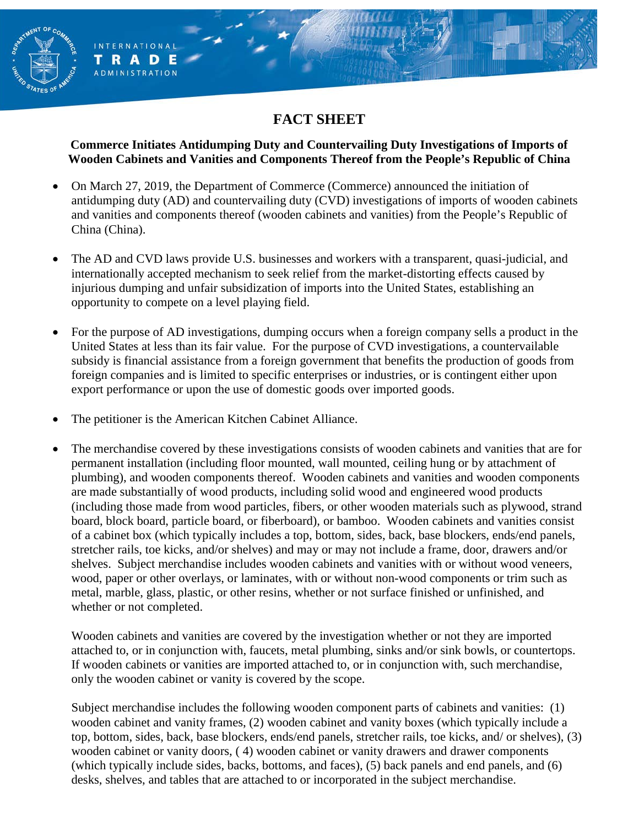# **FACT SHEET**

#### **Commerce Initiates Antidumping Duty and Countervailing Duty Investigations of Imports of Wooden Cabinets and Vanities and Components Thereof from the People's Republic of China**

- On March 27, 2019, the Department of Commerce (Commerce) announced the initiation of antidumping duty (AD) and countervailing duty (CVD) investigations of imports of wooden cabinets and vanities and components thereof (wooden cabinets and vanities) from the People's Republic of China (China).
- The AD and CVD laws provide U.S. businesses and workers with a transparent, quasi-judicial, and internationally accepted mechanism to seek relief from the market-distorting effects caused by injurious dumping and unfair subsidization of imports into the United States, establishing an opportunity to compete on a level playing field.
- For the purpose of AD investigations, dumping occurs when a foreign company sells a product in the United States at less than its fair value. For the purpose of CVD investigations, a countervailable subsidy is financial assistance from a foreign government that benefits the production of goods from foreign companies and is limited to specific enterprises or industries, or is contingent either upon export performance or upon the use of domestic goods over imported goods.
- The petitioner is the American Kitchen Cabinet Alliance.

ENT OF

ERNATIONAL

**RADE** ADMINISTRATION

т

• The merchandise covered by these investigations consists of wooden cabinets and vanities that are for permanent installation (including floor mounted, wall mounted, ceiling hung or by attachment of plumbing), and wooden components thereof. Wooden cabinets and vanities and wooden components are made substantially of wood products, including solid wood and engineered wood products (including those made from wood particles, fibers, or other wooden materials such as plywood, strand board, block board, particle board, or fiberboard), or bamboo. Wooden cabinets and vanities consist of a cabinet box (which typically includes a top, bottom, sides, back, base blockers, ends/end panels, stretcher rails, toe kicks, and/or shelves) and may or may not include a frame, door, drawers and/or shelves. Subject merchandise includes wooden cabinets and vanities with or without wood veneers, wood, paper or other overlays, or laminates, with or without non-wood components or trim such as metal, marble, glass, plastic, or other resins, whether or not surface finished or unfinished, and whether or not completed.

Wooden cabinets and vanities are covered by the investigation whether or not they are imported attached to, or in conjunction with, faucets, metal plumbing, sinks and/or sink bowls, or countertops. If wooden cabinets or vanities are imported attached to, or in conjunction with, such merchandise, only the wooden cabinet or vanity is covered by the scope.

Subject merchandise includes the following wooden component parts of cabinets and vanities: (1) wooden cabinet and vanity frames, (2) wooden cabinet and vanity boxes (which typically include a top, bottom, sides, back, base blockers, ends/end panels, stretcher rails, toe kicks, and/ or shelves), (3) wooden cabinet or vanity doors, ( 4) wooden cabinet or vanity drawers and drawer components (which typically include sides, backs, bottoms, and faces), (5) back panels and end panels, and (6) desks, shelves, and tables that are attached to or incorporated in the subject merchandise.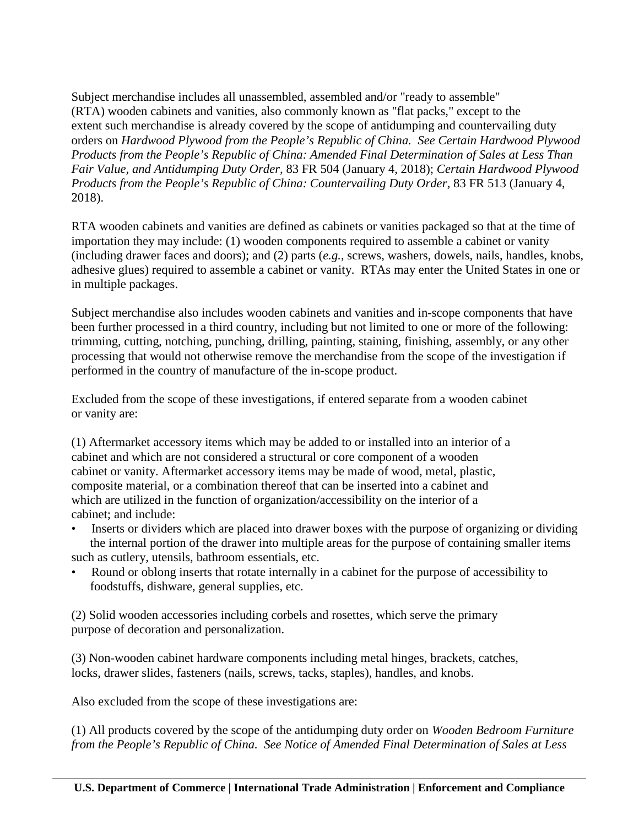Subject merchandise includes all unassembled, assembled and/or "ready to assemble" (RTA) wooden cabinets and vanities, also commonly known as "flat packs," except to the extent such merchandise is already covered by the scope of antidumping and countervailing duty orders on *Hardwood Plywood from the People's Republic of China. See Certain Hardwood Plywood Products from the People's Republic of China: Amended Final Determination of Sales at Less Than Fair Value, and Antidumping Duty Order,* 83 FR 504 (January 4, 2018); *Certain Hardwood Plywood Products from the People's Republic of China: Countervailing Duty Order,* 83 FR 513 (January 4, 2018).

RTA wooden cabinets and vanities are defined as cabinets or vanities packaged so that at the time of importation they may include: (1) wooden components required to assemble a cabinet or vanity (including drawer faces and doors); and (2) parts (*e.g.*, screws, washers, dowels, nails, handles, knobs, adhesive glues) required to assemble a cabinet or vanity. RTAs may enter the United States in one or in multiple packages.

Subject merchandise also includes wooden cabinets and vanities and in-scope components that have been further processed in a third country, including but not limited to one or more of the following: trimming, cutting, notching, punching, drilling, painting, staining, finishing, assembly, or any other processing that would not otherwise remove the merchandise from the scope of the investigation if performed in the country of manufacture of the in-scope product.

Excluded from the scope of these investigations, if entered separate from a wooden cabinet or vanity are:

(1) Aftermarket accessory items which may be added to or installed into an interior of a cabinet and which are not considered a structural or core component of a wooden cabinet or vanity. Aftermarket accessory items may be made of wood, metal, plastic, composite material, or a combination thereof that can be inserted into a cabinet and which are utilized in the function of organization/accessibility on the interior of a cabinet; and include:

- Inserts or dividers which are placed into drawer boxes with the purpose of organizing or dividing the internal portion of the drawer into multiple areas for the purpose of containing smaller items such as cutlery, utensils, bathroom essentials, etc.
- Round or oblong inserts that rotate internally in a cabinet for the purpose of accessibility to foodstuffs, dishware, general supplies, etc.

(2) Solid wooden accessories including corbels and rosettes, which serve the primary purpose of decoration and personalization.

(3) Non-wooden cabinet hardware components including metal hinges, brackets, catches, locks, drawer slides, fasteners (nails, screws, tacks, staples), handles, and knobs.

Also excluded from the scope of these investigations are:

(1) All products covered by the scope of the antidumping duty order on *Wooden Bedroom Furniture from the People's Republic of China. See Notice of Amended Final Determination of Sales at Less*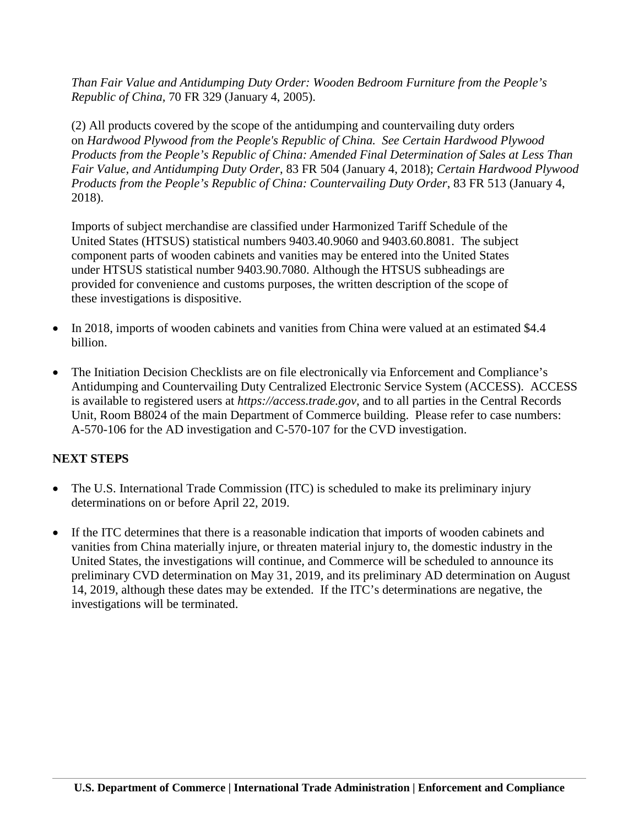*Than Fair Value and Antidumping Duty Order: Wooden Bedroom Furniture from the People's Republic of China,* 70 FR 329 (January 4, 2005).

(2) All products covered by the scope of the antidumping and countervailing duty orders on *Hardwood Plywood from the People's Republic of China. See Certain Hardwood Plywood Products from the People's Republic of China: Amended Final Determination of Sales at Less Than Fair Value, and Antidumping Duty Order*, 83 FR 504 (January 4, 2018); *Certain Hardwood Plywood Products from the People's Republic of China: Countervailing Duty Order*, 83 FR 513 (January 4, 2018).

Imports of subject merchandise are classified under Harmonized Tariff Schedule of the United States (HTSUS) statistical numbers 9403.40.9060 and 9403.60.8081. The subject component parts of wooden cabinets and vanities may be entered into the United States under HTSUS statistical number 9403.90.7080. Although the HTSUS subheadings are provided for convenience and customs purposes, the written description of the scope of these investigations is dispositive.

- In 2018, imports of wooden cabinets and vanities from China were valued at an estimated \$4.4 billion.
- The Initiation Decision Checklists are on file electronically via Enforcement and Compliance's Antidumping and Countervailing Duty Centralized Electronic Service System (ACCESS). ACCESS is available to registered users at *https://access.trade.gov*, and to all parties in the Central Records Unit, Room B8024 of the main Department of Commerce building. Please refer to case numbers: A-570-106 for the AD investigation and C-570-107 for the CVD investigation.

#### **NEXT STEPS**

- The U.S. International Trade Commission (ITC) is scheduled to make its preliminary injury determinations on or before April 22, 2019.
- If the ITC determines that there is a reasonable indication that imports of wooden cabinets and vanities from China materially injure, or threaten material injury to, the domestic industry in the United States, the investigations will continue, and Commerce will be scheduled to announce its preliminary CVD determination on May 31, 2019, and its preliminary AD determination on August 14, 2019, although these dates may be extended. If the ITC's determinations are negative, the investigations will be terminated.